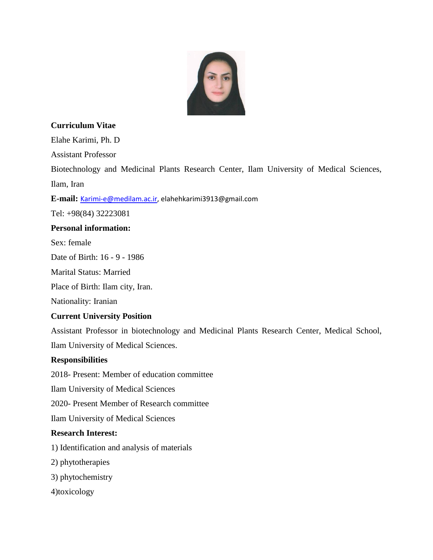

## **Curriculum Vitae**

Elahe Karimi, Ph. D

Assistant Professor

Biotechnology and Medicinal Plants Research Center, Ilam University of Medical Sciences, Ilam, Iran

**E-mail:** [Karimi-e@medilam.ac.ir,](mailto:Karimi-e@medilam.ac.ir) elahehkarimi3913@gmail.com

Tel: +98(84) 32223081

## **Personal information:**

Sex: female

Date of Birth: 16 - 9 - 1986

Marital Status: Married

Place of Birth: Ilam city, Iran.

Nationality: Iranian

#### **Current University Position**

Assistant Professor in biotechnology and Medicinal Plants Research Center, Medical School, Ilam University of Medical Sciences.

#### **Responsibilities**

2018- Present: Member of education committee

Ilam University of Medical Sciences

2020- Present Member of Research committee

Ilam University of Medical Sciences

# **Research Interest:**

1) Identification and analysis of materials

2) phytotherapies

3) phytochemistry

4)toxicology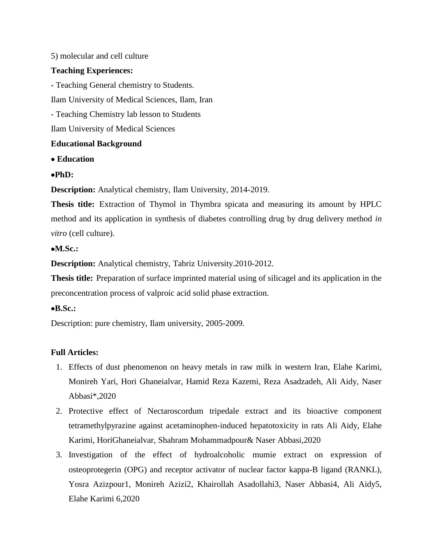### 5) molecular and cell culture

## **Teaching Experiences:**

- Teaching General chemistry to Students.

Ilam University of Medical Sciences, Ilam, Iran

- Teaching Chemistry lab lesson to Students

Ilam University of Medical Sciences

## **Educational Background**

**Education**

## **PhD:**

**Description:** Analytical chemistry, Ilam University, 2014-2019.

**Thesis title:** Extraction of Thymol in Thymbra spicata and measuring its amount by HPLC method and its application in synthesis of diabetes controlling drug by drug delivery method *in vitro* (cell culture).

## **M.Sc.:**

**Description:** Analytical chemistry, Tabriz University.2010-2012.

**Thesis title:** Preparation of surface imprinted material using of silicagel and its application in the preconcentration process of valproic acid solid phase extraction.

#### **B.Sc.:**

Description: pure chemistry, Ilam university, 2005-2009.

# **Full Articles:**

- 1. [Effects of dust phenomenon on heavy metals in raw milk in western Iran,](https://www.researchgate.net/publication/342068020_Effects_of_dust_phenomenon_on_heavy_metals_in_raw_milk_in_western_Iran?_sg=MH7LAbRkGcfxoDemp2n7Cv4LNBg6Kl7QTssksOJYK6doQN4LzJIjB6XIJfdpSJvB8r-nbfHhfYaNEMGkjFRYbXwaDrUjAREk-WOn6laE.zGcK0Zlf2zrKd3iWmDsA7MYfGXfGKsUMVLuR3Qru4vFGhG5TO0qOl_0SfDWJOtEMsbsLBlXu96qDssTMANJSpA) Elahe Karimi, Monireh Yari, Hori Ghaneialvar, Hamid Reza Kazemi, Reza Asadzadeh, Ali Aidy, Naser Abbasi\*,2020
- 2. [Protective effect of Nectaroscordum tripedale extract and its bioactive component](https://www.researchgate.net/publication/340036763_Protective_effect_of_Nectaroscordum_tripedale_extract_and_its_bioactive_component_tetramethylpyrazine_against_acetaminophen-induced_hepatotoxicity_in_rats?_sg=nEBapRfGkeetnk6R1e7xDxRDz_CBHePcluLPGSJiOUJiEvufQt4LWVXFg_vSm6JhilBNdSBN5Ls9VrdFr-0lKY2RnWBoXgHeJu6DQiOU.AyzhjLpeKdW1BltvVT0ySGjwluhlAujE0cnJd2MFwjt0DwGj3CwnjX8bdonncKKzHitHHOcA7VC9hasHjBAfDA)  [tetramethylpyrazine against acetaminophen-induced hepatotoxicity in rats](https://www.researchgate.net/publication/340036763_Protective_effect_of_Nectaroscordum_tripedale_extract_and_its_bioactive_component_tetramethylpyrazine_against_acetaminophen-induced_hepatotoxicity_in_rats?_sg=nEBapRfGkeetnk6R1e7xDxRDz_CBHePcluLPGSJiOUJiEvufQt4LWVXFg_vSm6JhilBNdSBN5Ls9VrdFr-0lKY2RnWBoXgHeJu6DQiOU.AyzhjLpeKdW1BltvVT0ySGjwluhlAujE0cnJd2MFwjt0DwGj3CwnjX8bdonncKKzHitHHOcA7VC9hasHjBAfDA) Ali Aidy, Elahe Karimi, HoriGhaneialvar, Shahram Mohammadpour& Naser Abbasi,2020
- 3. [Investigation of the effect of hydroalcoholic mumie extract on expression of](https://www.researchgate.net/publication/339826540_Investigation_of_the_effect_of_hydroalcoholic_mumie_extract_on_expression_of_osteoprotegerin_OPG_and_receptor_activator_of_nuclear_factor_kappa-B_ligand_RANKL?_sg=5nFSwt5Lue-_b-gZmmMx-jGIn7jIWAwr6j_9hpGJr9QsKzQsaFLaUBfMHC1Ud5dcjAIzlPUpZapGkLt-MY2Q3ZtcpY0KOeCIq75OnTVQ.0qmw3LenMoNl2ghuNSCilNY0ZbtGDUeWX2XEZFOhbpoECxv13JgvMOq-YhHHdRe5anHzinW6Md-WnjibVEV-Zw)  osteoprotegerin [\(OPG\) and receptor activator of nuclear factor kappa-B ligand \(RANKL\),](https://www.researchgate.net/publication/339826540_Investigation_of_the_effect_of_hydroalcoholic_mumie_extract_on_expression_of_osteoprotegerin_OPG_and_receptor_activator_of_nuclear_factor_kappa-B_ligand_RANKL?_sg=5nFSwt5Lue-_b-gZmmMx-jGIn7jIWAwr6j_9hpGJr9QsKzQsaFLaUBfMHC1Ud5dcjAIzlPUpZapGkLt-MY2Q3ZtcpY0KOeCIq75OnTVQ.0qmw3LenMoNl2ghuNSCilNY0ZbtGDUeWX2XEZFOhbpoECxv13JgvMOq-YhHHdRe5anHzinW6Md-WnjibVEV-Zw) Yosra Azizpour1, Monireh Azizi2, Khairollah Asadollahi3, Naser Abbasi4, Ali Aidy5, Elahe Karimi 6,2020